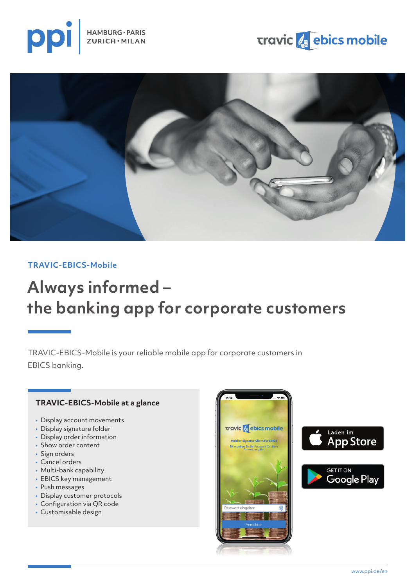

## **Travic & ebics mobile**



## **TRAVIC-EBICS-Mobile**

# **Always informed – the banking app for corporate customers**

TRAVIC-EBICS-Mobile is your reliable mobile app for corporate customers in EBICS banking.

## **TRAVIC-EBICS-Mobile at a glance**

- Display account movements
- Display signature folder
- Display order information
- Show order content
- Sign orders
- Cancel orders
- Multi-bank capability
- EBICS key management
- Push messages
- Display customer protocols
- Configuration via QR code
- Customisable design